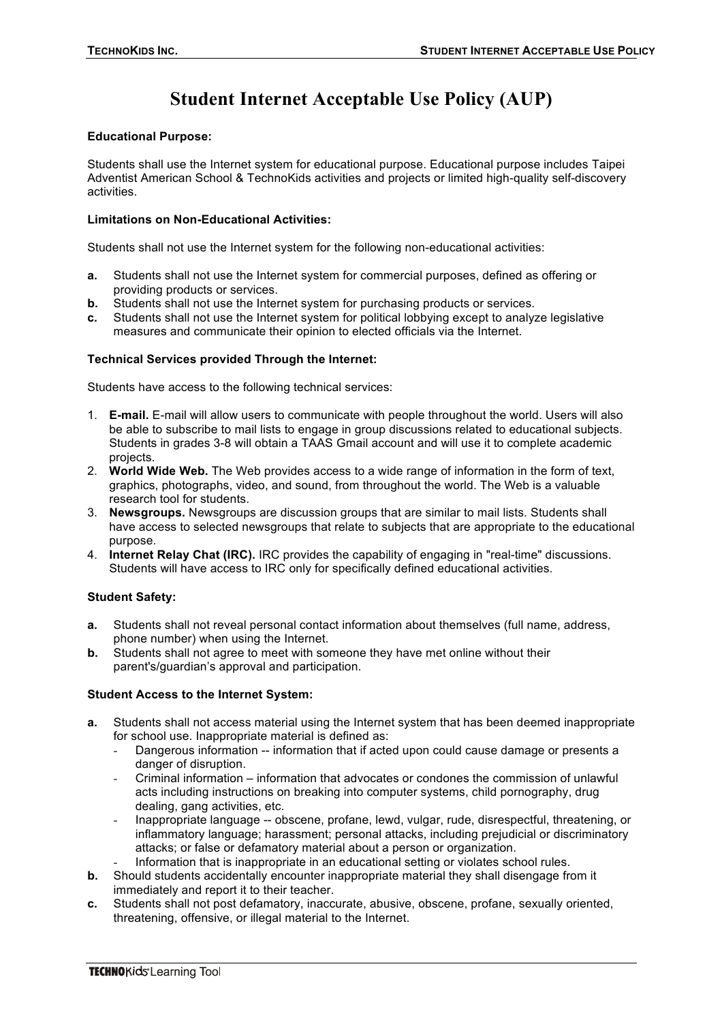# **Student Internet Acceptable Use Policy (AUP)**

### **Educational Purpose:**

Students shall use the Internet system for educational purpose. Educational purpose includes Taipei Adventist American School & TechnoKids activities and projects or limited high-quality self-discovery activities.

### **Limitations on Non-Educational Activities:**

Students shall not use the Internet system for the following non-educational activities:

- **a.** Students shall not use the Internet system for commercial purposes, defined as offering or providing products or services.
- **b.** Students shall not use the Internet system for purchasing products or services.
- **c.** Students shall not use the Internet system for political lobbying except to analyze legislative measures and communicate their opinion to elected officials via the Internet.

## **Technical Services provided Through the Internet:**

Students have access to the following technical services:

- 1. **E-mail.** E-mail will allow users to communicate with people throughout the world. Users will also be able to subscribe to mail lists to engage in group discussions related to educational subjects. Students in grades 3-8 will obtain a TAAS Gmail account and will use it to complete academic projects.
- 2. **World Wide Web.** The Web provides access to a wide range of information in the form of text, graphics, photographs, video, and sound, from throughout the world. The Web is a valuable research tool for students.
- 3. **Newsgroups.** Newsgroups are discussion groups that are similar to mail lists. Students shall have access to selected newsgroups that relate to subjects that are appropriate to the educational purpose.
- 4. **Internet Relay Chat (IRC).** IRC provides the capability of engaging in "real-time" discussions. Students will have access to IRC only for specifically defined educational activities.

# **Student Safety:**

- **a.** Students shall not reveal personal contact information about themselves (full name, address, phone number) when using the Internet.
- **b.** Students shall not agree to meet with someone they have met online without their parent's/guardian's approval and participation.

#### **Student Access to the Internet System:**

- **a.** Students shall not access material using the Internet system that has been deemed inappropriate for school use. Inappropriate material is defined as:
	- Dangerous information -- information that if acted upon could cause damage or presents a danger of disruption.
	- Criminal information information that advocates or condones the commission of unlawful acts including instructions on breaking into computer systems, child pornography, drug dealing, gang activities, etc.
	- Inappropriate language -- obscene, profane, lewd, vulgar, rude, disrespectful, threatening, or inflammatory language; harassment; personal attacks, including prejudicial or discriminatory attacks; or false or defamatory material about a person or organization.
	- Information that is inappropriate in an educational setting or violates school rules.
- **b.** Should students accidentally encounter inappropriate material they shall disengage from it immediately and report it to their teacher.
- **c.** Students shall not post defamatory, inaccurate, abusive, obscene, profane, sexually oriented, threatening, offensive, or illegal material to the Internet.